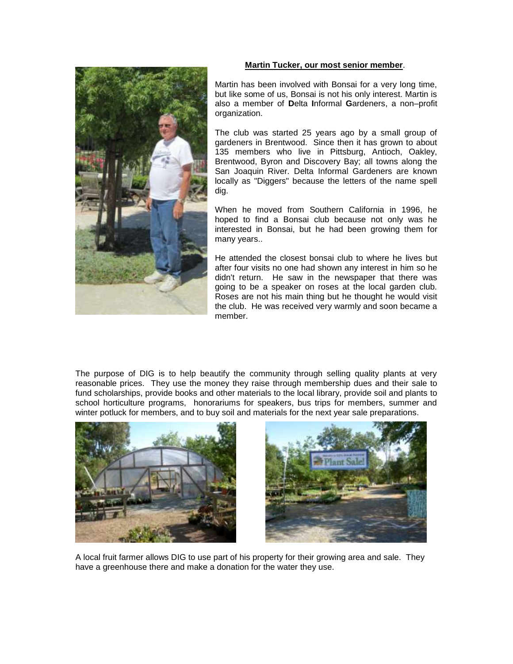

## **Martin Tucker, our most senior member**.

Martin has been involved with Bonsai for a very long time, but like some of us, Bonsai is not his only interest. Martin is also a member of **D**elta **I**nformal **G**ardeners, a non–profit organization.

The club was started 25 years ago by a small group of gardeners in Brentwood. Since then it has grown to about 135 members who live in Pittsburg, Antioch, Oakley, Brentwood, Byron and Discovery Bay; all towns along the San Joaquin River. Delta Informal Gardeners are known locally as "Diggers" because the letters of the name spell dig.

When he moved from Southern California in 1996, he hoped to find a Bonsai club because not only was he interested in Bonsai, but he had been growing them for many years..

He attended the closest bonsai club to where he lives but after four visits no one had shown any interest in him so he didn't return. He saw in the newspaper that there was going to be a speaker on roses at the local garden club. Roses are not his main thing but he thought he would visit the club. He was received very warmly and soon became a member.

The purpose of DIG is to help beautify the community through selling quality plants at very reasonable prices. They use the money they raise through membership dues and their sale to fund scholarships, provide books and other materials to the local library, provide soil and plants to school horticulture programs, honorariums for speakers, bus trips for members, summer and winter potluck for members, and to buy soil and materials for the next year sale preparations.





A local fruit farmer allows DIG to use part of his property for their growing area and sale. They have a greenhouse there and make a donation for the water they use.